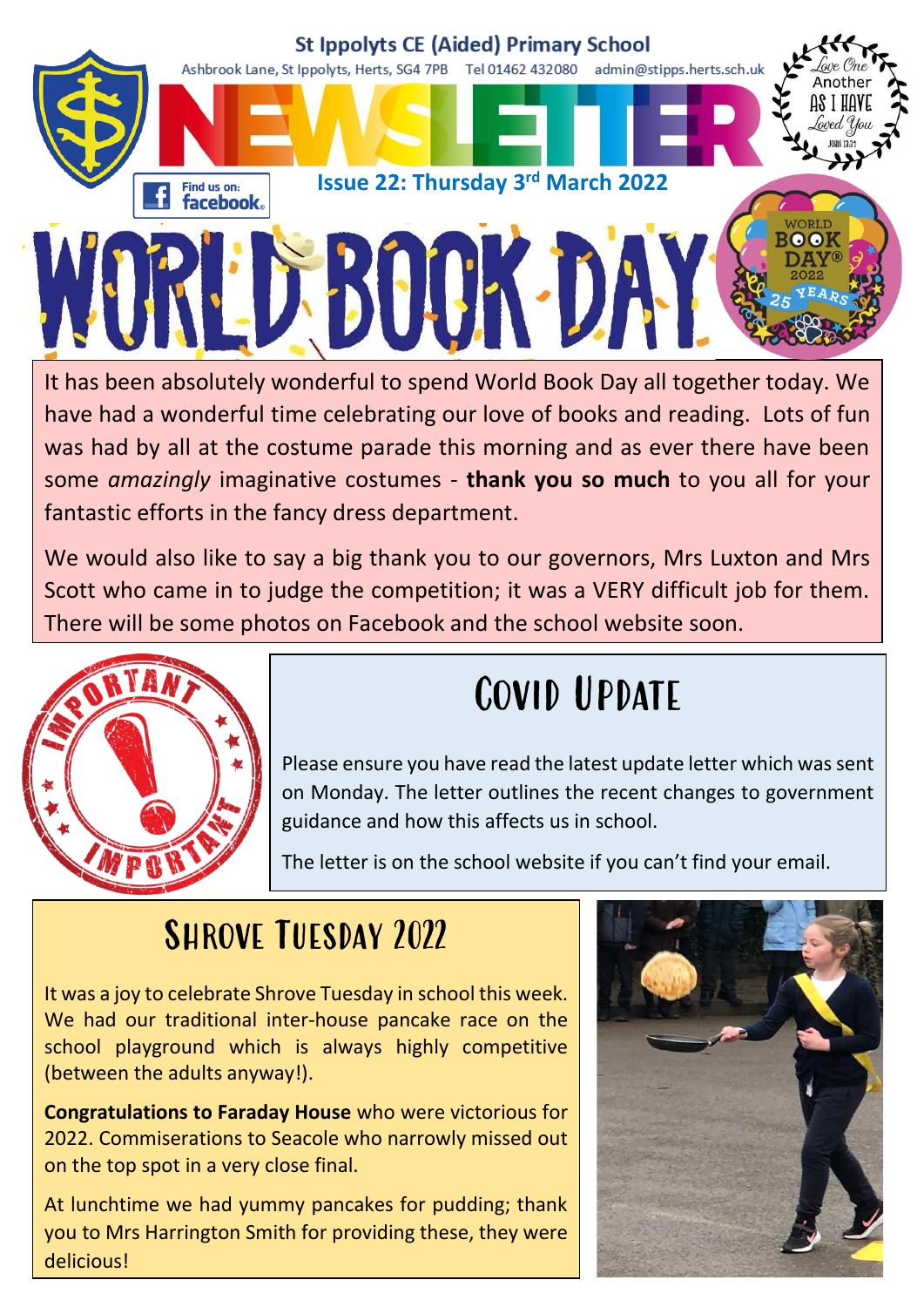

It has been absolutely wonderful to spend World Book Day all together today. We have had a wonderful time celebrating our love of books and reading. Lots of fun was had by all at the costume parade this morning and as ever there have been some *amazingly* imaginative costumes - **thank you so much** to you all for your fantastic efforts in the fancy dress department.

We would also like to say a big thank you to our governors, Mrs Luxton and Mrs Scott who came in to judge the competition; it was a VERY difficult job for them. There will be some photos on Facebook and the school website soon.



## Covid Update

Please ensure you have read the latest update letter which was sent on Monday. The letter outlines the recent changes to government guidance and how this affects us in school.

The letter is on the school website if you can't find your email.

### SHROVE TUESDAY 2022

It was a joy to celebrate Shrove Tuesday in school this week. We had our traditional inter-house pancake race on the school playground which is always highly competitive (between the adults anyway!).

**Congratulations to Faraday House** who were victorious for 2022. Commiserations to Seacole who narrowly missed out on the top spot in a very close final.

At lunchtime we had yummy pancakes for pudding; thank you to Mrs Harrington Smith for providing these, they were delicious!

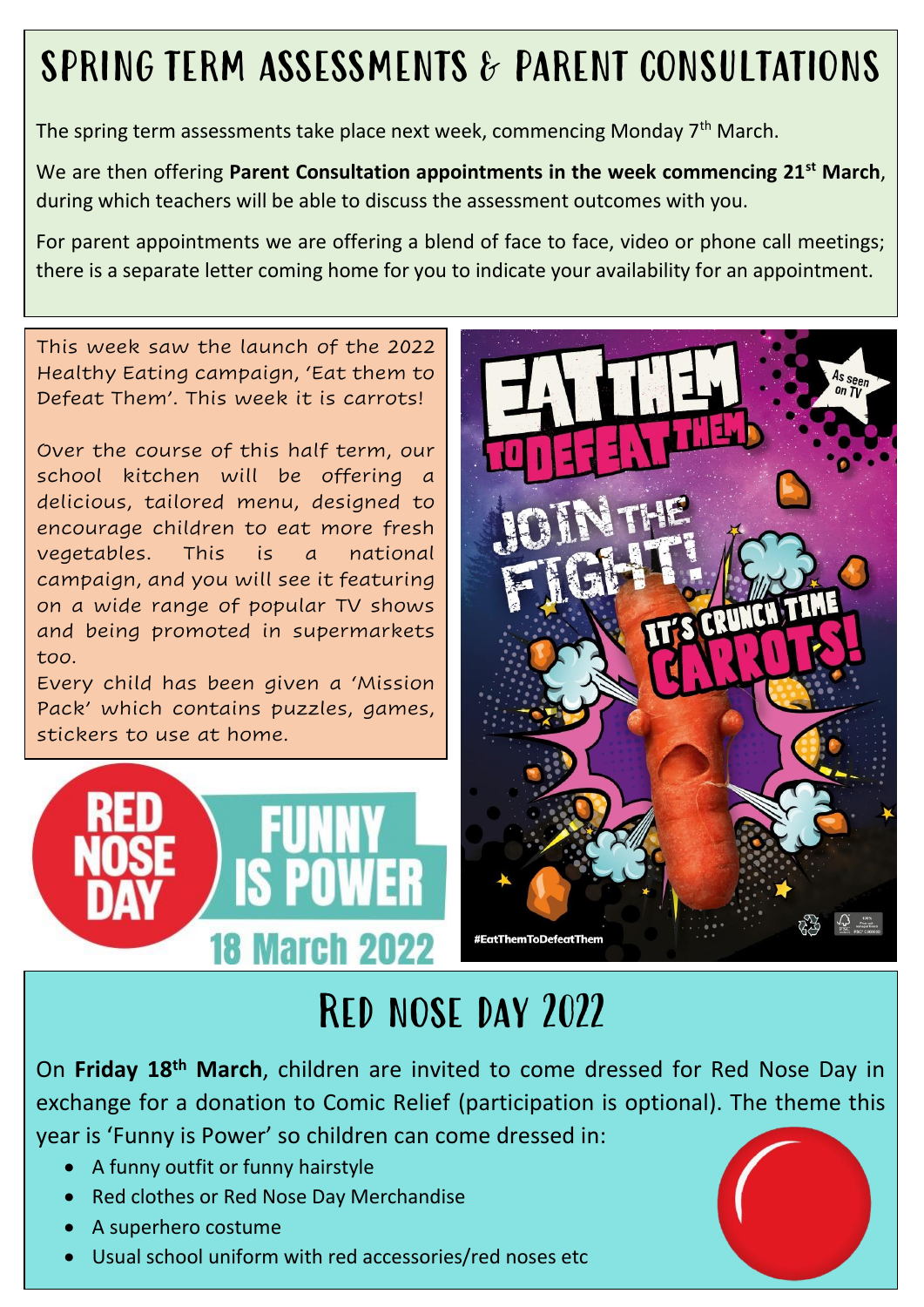## SPRING TERM ASSESSMENTS & PARENT CONSULTATIONS

The spring term assessments take place next week, commencing Monday 7<sup>th</sup> March.

We are then offering **Parent Consultation appointments in the week commencing 21st March**, during which teachers will be able to discuss the assessment outcomes with you.

For parent appointments we are offering a blend of face to face, video or phone call meetings; there is a separate letter coming home for you to indicate your availability for an appointment.

This week saw the launch of the 2022 Healthy Eating campaign, 'Eat them to Defeat Them'. This week it is carrots!

Over the course of this half term, our school kitchen will be offering a delicious, tailored menu, designed to encourage children to eat more fresh vegetables. This is a national campaign, and you will see it featuring on a wide range of popular TV shows and being promoted in supermarkets too.

Every child has been given a 'Mission Pack' which contains puzzles, games, stickers to use at home.





## Red nose day 2022

On **Friday 18th March**, children are invited to come dressed for Red Nose Day in exchange for a donation to Comic Relief (participation is optional). The theme this year is 'Funny is Power' so children can come dressed in:

- A funny outfit or funny hairstyle
- Red clothes or Red Nose Day Merchandise
- A superhero costume
- Usual school uniform with red accessories/red noses etc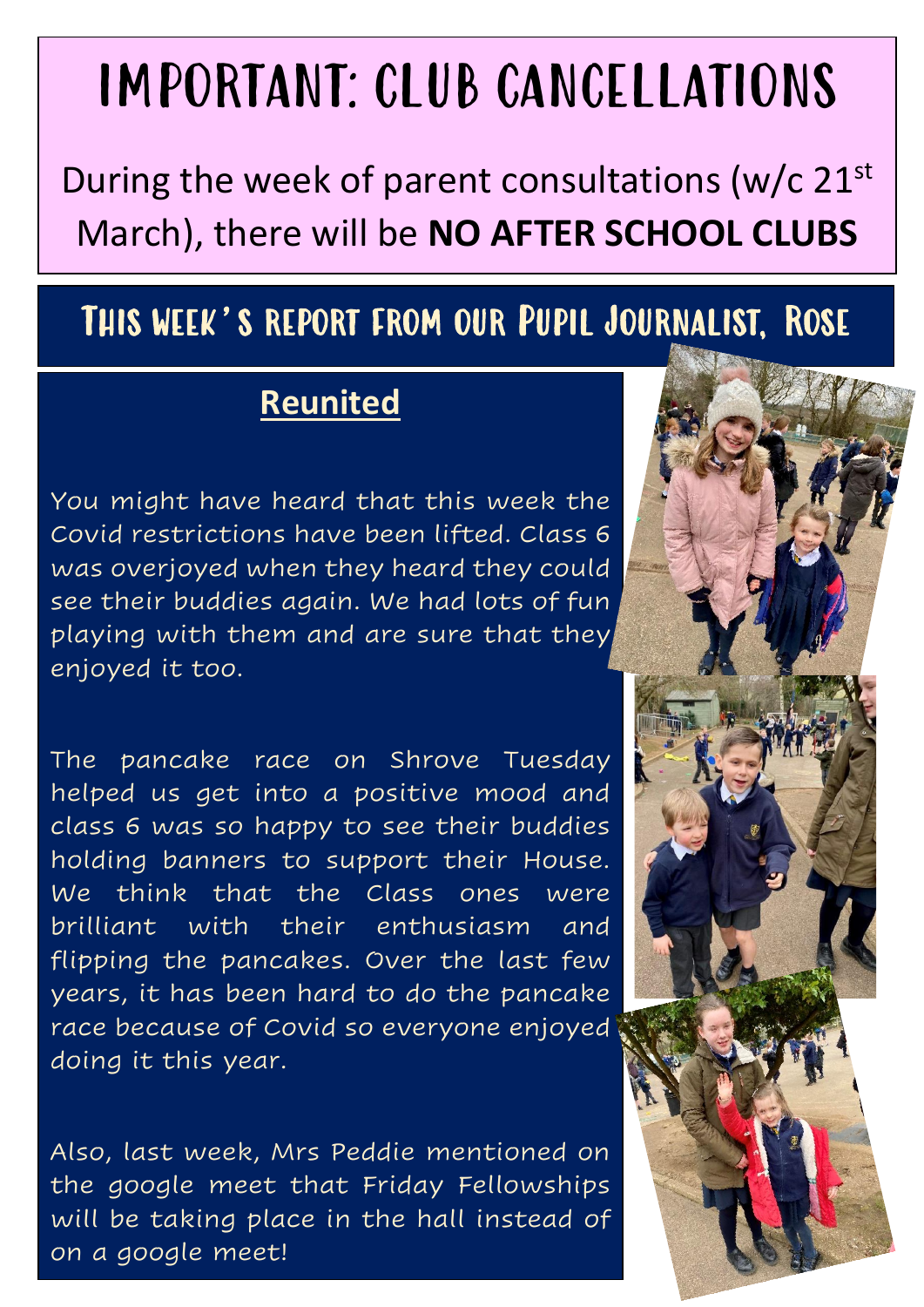## IMPORTANT: CLUB CANCELLATIONS

During the week of parent consultations ( $w/c$  21st March), there will be **NO AFTER SCHOOL CLUBS**

#### This week's report from our Pupil Journalist, Rose

#### **Reunited**

You might have heard that this week the Covid restrictions have been lifted. Class 6 was overjoyed when they heard they could see their buddies again. We had lots of fun playing with them and are sure that they enjoyed it too.

The pancake race on Shrove Tuesday helped us get into a positive mood and class 6 was so happy to see their buddies holding banners to support their House. We think that the Class ones were brilliant with their enthusiasm and flipping the pancakes. Over the last few years, it has been hard to do the pancake race because of Covid so everyone enjoyed doing it this year.

Also, last week, Mrs Peddie mentioned on the google meet that Friday Fellowships will be taking place in the hall instead of on a google meet!